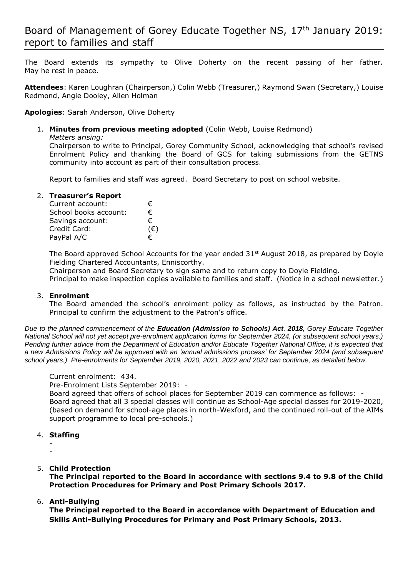The Board extends its sympathy to Olive Doherty on the recent passing of her father. May he rest in peace.

**Attendees**: Karen Loughran (Chairperson,) Colin Webb (Treasurer,) Raymond Swan (Secretary,) Louise Redmond, Angie Dooley, Allen Holman

**Apologies**: Sarah Anderson, Olive Doherty

1. **Minutes from previous meeting adopted** (Colin Webb, Louise Redmond)

*Matters arising:*

Chairperson to write to Principal, Gorey Community School, acknowledging that school's revised Enrolment Policy and thanking the Board of GCS for taking submissions from the GETNS community into account as part of their consultation process.

Report to families and staff was agreed. Board Secretary to post on school website.

## 2. **Treasurer's Report**

| Current account:      | €            |
|-----------------------|--------------|
| School books account: | €            |
| Savings account:      | €            |
| Credit Card:          | $(\epsilon)$ |
| PayPal A/C            | €            |

The Board approved School Accounts for the year ended  $31<sup>st</sup>$  August 2018, as prepared by Doyle Fielding Chartered Accountants, Enniscorthy.

Chairperson and Board Secretary to sign same and to return copy to Doyle Fielding.

Principal to make inspection copies available to families and staff. (Notice in a school newsletter.)

# 3. **Enrolment**

The Board amended the school's enrolment policy as follows, as instructed by the Patron. Principal to confirm the adjustment to the Patron's office.

*Due to the planned commencement of the Education (Admission to Schools) Act, 2018, Gorey Educate Together National School will not yet accept pre-enrolment application forms for September 2024, (or subsequent school years.) Pending further advice from the Department of Education and/or Educate Together National Office, it is expected that a new Admissions Policy will be approved with an 'annual admissions process' for September 2024 (and subsequent school years.) Pre-enrolments for September 2019, 2020, 2021, 2022 and 2023 can continue, as detailed below.* 

Current enrolment: 434.

Pre-Enrolment Lists September 2019: -

Board agreed that offers of school places for September 2019 can commence as follows: - Board agreed that all 3 special classes will continue as School-Age special classes for 2019-2020, (based on demand for school-age places in north-Wexford, and the continued roll-out of the AIMs support programme to local pre-schools.)

- 4. **Staffing**
	- -
- 5. **Child Protection**

**The Principal reported to the Board in accordance with sections 9.4 to 9.8 of the Child Protection Procedures for Primary and Post Primary Schools 2017.** 

#### 6. **Anti-Bullying**

**The Principal reported to the Board in accordance with Department of Education and Skills Anti-Bullying Procedures for Primary and Post Primary Schools, 2013.**